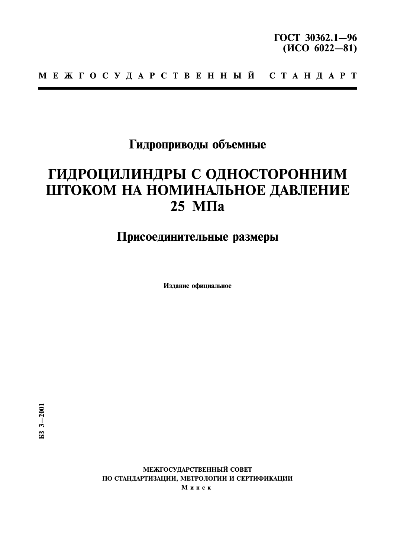# Гидроприводы объемные

# ГИДРОЦИЛИНДРЫ С ОДНОСТОРОННИМ ШТОКОМ НА НОМИНАЛЬНОЕ ДАВЛЕНИЕ  $25$  M $\Pi$ a

# Присоединительные размеры

Издание официальное

МЕЖГОСУДАРСТВЕННЫЙ СОВЕТ ПО СТАНДАРТИЗАЦИИ, МЕТРОЛОГИИ И СЕРТИФИКАЦИИ Минск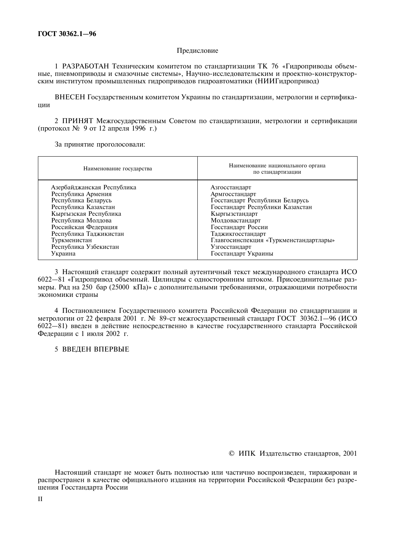#### Предисловие

1 РАЗРАБОТАН Техническим комитетом по стандартизации ТК 76 «Гидроприводы объемные, пневмоприводы и смазочные системы», Научно-исследовательским и проектно-конструкторским институтом промышленных гидроприводов гидроавтоматики (НИИГидропривод)

ВНЕСЕН Государственным комитетом Украины по стандартизации, метрологии и сертифика-ЦИИ

2 ПРИНЯТ Межгосударственным Советом по стандартизации, метрологии и сертификации (протокол № 9 от 12 апреля 1996 г.)

За принятие проголосовали:

| Наименование государства   | Наименование национального органа<br>по стандартизации |  |  |  |  |  |
|----------------------------|--------------------------------------------------------|--|--|--|--|--|
| Азербайджанская Республика | Азгосстандарт                                          |  |  |  |  |  |
| Республика Армения         | Армгосстандарт                                         |  |  |  |  |  |
| Республика Беларусь        | Госстандарт Республики Беларусь                        |  |  |  |  |  |
| Республика Казахстан       | Госстандарт Республики Казахстан                       |  |  |  |  |  |
| Кыргызская Республика      | Кыргызстандарт                                         |  |  |  |  |  |
| Республика Молдова         | Молдовастандарт                                        |  |  |  |  |  |
| Российская Федерация       | Госстандарт России                                     |  |  |  |  |  |
| Республика Таджикистан     | Таджикгосстандарт                                      |  |  |  |  |  |
| Туркменистан               | Главгосинспекция «Туркменстандартлары»                 |  |  |  |  |  |
| Республика Узбекистан      | Узгосстандарт                                          |  |  |  |  |  |
| Украина                    | Госстандарт Украины                                    |  |  |  |  |  |

3 Настоящий стандарт содержит полный аутентичный текст международного стандарта ИСО 6022-81 «Гидропривод объемный. Цилиндры с односторонним штоком. Присоединительные размеры. Ряд на 250 бар (25000 кПа)» с дополнительными требованиями, отражающими потребности экономики страны

4 Постановлением Госуларственного комитета Российской Фелерации по станлартизации и метрологии от 22 февраля 2001 г. № 89-ст межгосударственный стандарт ГОСТ 30362.1-96 (ИСО 6022-81) введен в действие непосредственно в качестве государственного стандарта Российской Федерации с 1 июля 2002 г.

#### 5 ВВЕДЕН ВПЕРВЫЕ

© ИПК Излательство станлартов, 2001

Настоящий стандарт не может быть полностью или частично воспроизведен, тиражирован и распространен в качестве официального издания на территории Российской Федерации без разрешения Госстандарта России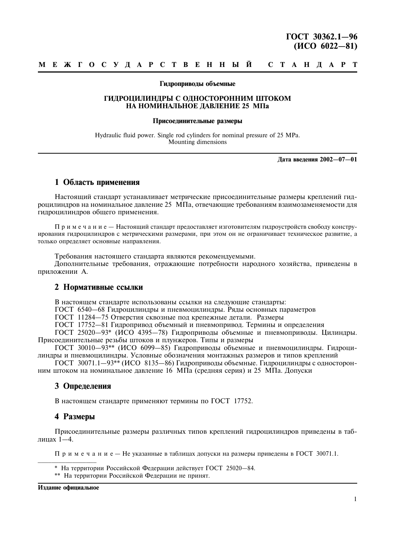#### Гидроприводы объемные

#### ГИЛРОЦИЛИНДРЫ С ОДНОСТОРОННИМ ШТОКОМ НА НОМИНАЛЬНОЕ ДАВЛЕНИЕ 25 МПа

#### Присоелинительные размеры

Hydraulic fluid power. Single rod cylinders for nominal pressure of 25 MPa. Mounting dimensions

Лата ввеления 2002-07-01

### 1 Область применения

Настоящий стандарт устанавливает метрические присоединительные размеры креплений гидроцилиндров на номинальное давление 25 МПа, отвечающие требованиям взаимозаменяемости для гидроцилиндров общего применения.

Примечание - Настоящий стандарт предоставляет изготовителям гидроустройств свободу конструирования гидроцилиндров с метрическими размерами, при этом он не ограничивает техническое развитие, а только определяет основные направления.

Требования настоящего стандарта являются рекомендуемыми. Дополнительные требования, отражающие потребности народного хозяйства, приведены в приложении А.

### 2 Нормативные ссылки

В настоящем стандарте использованы ссылки на следующие стандарты:

ГОСТ 6540-68 Гидроцилиндры и пневмоцилиндры. Ряды основных параметров

ГОСТ 11284-75 Отверстия сквозные под крепежные детали. Размеры

ГОСТ 17752-81 Гидропривод объемный и пневмопривод. Термины и определения

ГОСТ 25020-93\* (ИСО 4395-78) Гидроприводы объемные и пневмоприводы. Цилиндры. Присоелинительные резьбы штоков и плунжеров. Типы и размеры

ГОСТ 30010-93\*\* (ИСО 6099-85) Гидроприводы объемные и пневмоцилиндры. Гидроцилиндры и пневмоцилиндры. Условные обозначения монтажных размеров и типов креплений

ГОСТ 30071.1-93<sup>\*\*</sup> (ИСО 8135-86) Гидроприводы объемные. Гидроцилиндры с односторонним штоком на номинальное давление 16 МПа (средняя серия) и 25 МПа. Допуски

### 3 Определения

В настоящем стандарте применяют термины по ГОСТ 17752.

### 4 Размеры

Присоединительные размеры различных типов креплений гидроцилиндров приведены в таблицах 1-4.

 $\Pi$  р и м е ч а н и е — Не указанные в таблицах лопуски на размеры приведены в ГОСТ 30071.1.

- \* На территории Российской Федерации действует ГОСТ 25020-84.
- \*\* На территории Российской Федерации не принят.

Издание официальное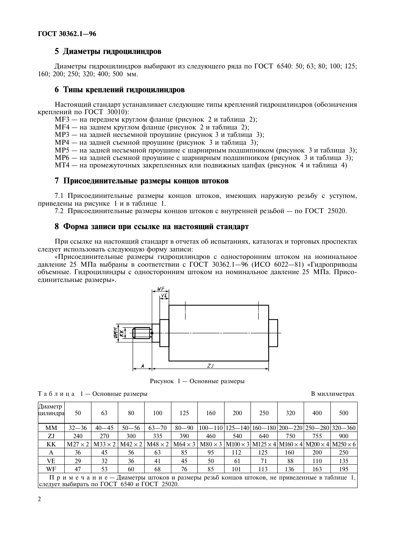# 5 Диаметры гидроцилиндров

Диаметры гидроцилиндров выбирают из следующего ряда по ГОСТ 6540: 50; 63; 80; 100; 125; 160; 200; 250; 320; 400; 500 мм.

#### 6 Типы креплений гидроцилиндров

Настоящий стандарт устанавливает следующие типы креплений гидроцилиндров (обозначения креплений по ГОСТ 30010):

MF3 — на переднем круглом фланце (рисунок 2 и таблица 2);

MF4 — на заднем круглом фланце (рисунок 2 и таблица 2);

MP3 — на задней несъемной проушине (рисунок 3 и таблица 3);

MP4 — на задней съемной проушине (рисунок 3 и таблица 3);

 $MP5$  — на задней несъемной проушине с шарнирным подшипником (рисунок 3 и таблица 3);

MP6 — на задней съемной проушине с шарнирным подшипником (рисунок 3 и таблица 3);

M14 — на промежуточных закрепленных или подвижных цапфах (рисунок 4 и таблица 4)

#### 7 Присоединительные размеры концов штоков

7.1 Присоединительные размеры концов штоков, имеющих наружную резьбу с уступом, приведены на рисунке і и в таблице 1.

7.2 Присоединительные размеры концов штоков с внутренней резьбой — по ГОСТ 25020.

#### 8 Форма записи при ссылке на настоящий стандарт

При ссылке на настоящий стандарт в отчетах об испытаниях, каталогах и торговых проспектах следует использовать следующую форму записи:

«Присоединительные размеры гидроцилиндров с односторонним штоком на номинальное давление 25 MHa выбраны в соответствии с ГОСТ 30362.1—96 (ИСО 6022—81) «Гидроприводы объемные. Iидроцилиндры с односторонним штоком на номинальное давление 25 M11a. Присоединительные размеры».



Рисунок  $1 -$ Основные размеры

 $T a 6 \pi u \pi a 1 -$  Основные раз

#### В миллиметрах

| Диаметр<br>цилиндра                                                                                  | 50        | 63        | 80        | 100       | 125       | 160 | 200 | 250 | 320 | 400        | 500                                                                                                                                                                                           |
|------------------------------------------------------------------------------------------------------|-----------|-----------|-----------|-----------|-----------|-----|-----|-----|-----|------------|-----------------------------------------------------------------------------------------------------------------------------------------------------------------------------------------------|
| <b>MM</b>                                                                                            | $32 - 36$ | $40 - 45$ | $50 - 56$ | $63 - 70$ | $80 - 90$ |     |     |     |     |            | $100-110$   125-140   160-180   200-220   250-280   320-360                                                                                                                                   |
| ZJ                                                                                                   | 240       | 270       | 300       | 335       | 390       | 460 | 540 | 640 | 750 | 755        | 900                                                                                                                                                                                           |
| KK                                                                                                   |           |           |           |           |           |     |     |     |     |            | $M27 \times 2$   M33 $\times$ 2   M42 $\times$ 2   M48 $\times$ 2   M64 $\times$ 3   M80 $\times$ 3   M100 $\times$ 3   M125 $\times$ 4   M160 $\times$ 4   M200 $\times$ 4   M250 $\times$ 6 |
| A                                                                                                    | 36        | 45        | 56        | 63        | 85        | 95  | 112 | 125 | 160 | <b>200</b> | 250                                                                                                                                                                                           |
| VE                                                                                                   | 29        | 32        | 36        | 41        | 45        | 50  | 61  | 71  | 88  | 110        | 135                                                                                                                                                                                           |
| WF                                                                                                   | 47        | 53        | 60        | 68        | 76        | 85  | 101 | 113 | 136 | 163        | 195                                                                                                                                                                                           |
| $\Pi$ р и м е ч а н и е — Диаметры штоков и размеры резьб концов штоков, не приведенные в таблице 1, |           |           |           |           |           |     |     |     |     |            |                                                                                                                                                                                               |

следует выбирать по ГОСТ 6540 и ГОСТ 25020.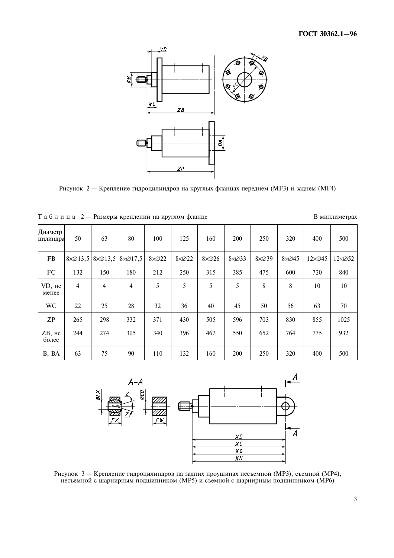

Рисунок 2 — Крепление гилронилиндров на круглых фланнах перелнем (МF3) и залнем (МF4)

| Таблица 2 — Размеры креплений на круглом фланце |                          |                |                                   |              |      |              |               |               |               |       | В миллиметрах   |  |
|-------------------------------------------------|--------------------------|----------------|-----------------------------------|--------------|------|--------------|---------------|---------------|---------------|-------|-----------------|--|
| Диаметр<br>цилиндра                             | 50                       | 63             | 80                                | 100          | 125  | 160          | 200           | 250           | 320           | 400   | 500             |  |
| FB                                              | $8\times\varnothing13,5$ |                | $8 \times 213,5$ $8 \times 217,5$ | $8\times 22$ | 8ר22 | $8\times 26$ | $8\times$ 233 | $8\times$ 239 | $8\times$ Ø45 | 12ר45 | $12 \times 052$ |  |
| FC                                              | 132                      | 150            | 180                               | 212          | 250  | 315          | 385           | 475           | 600           | 720   | 840             |  |
| VD, не<br>менее                                 | $\overline{4}$           | $\overline{4}$ | 4                                 | 5            | 5    | 5            | 5             | 8             | 8             | 10    | 10              |  |
| <b>WC</b>                                       | 22                       | 25             | 28                                | 32           | 36   | 40           | 45            | 50            | 56            | 63    | 70              |  |
| ZP                                              | 265                      | 298            | 332                               | 371          | 430  | 505          | 596           | 703           | 830           | 855   | 1025            |  |
| $ZB$ , $He$<br>более                            | 244                      | 274            | 305                               | 340          | 396  | 467          | 550           | 652           | 764           | 775   | 932             |  |
| B, BA                                           | 63                       | 75             | 90                                | 110          | 132  | 160          | 200           | 250           | 320           | 400   | 500             |  |





Рисунок 3 — Крепление гилроцилиндров на задних проушинах несъемной (МРЗ), съемной (МР4), несъемной с піарнирным поліципником (MP5) и съемной с піарнирным поліципником (MP6)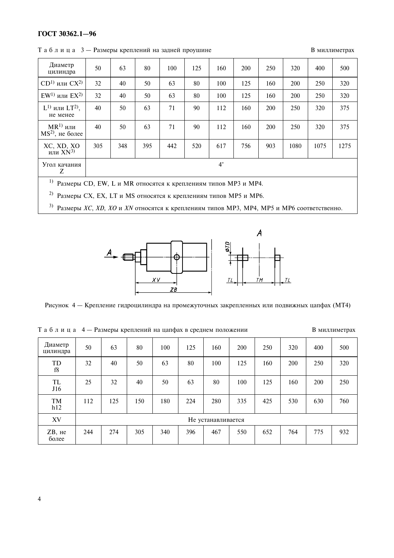# ГОСТ 30362.1-96

 $T a 6 \pi u$  и и  $a 3$  — Размеры креплений на залней проушин

В миллиметрах

| Диаметр<br>цилиндра                                                         | 50          | 63  | 80  | 100 | 125 | 160 | 200 | 250 | 320  | 400  | 500  |
|-----------------------------------------------------------------------------|-------------|-----|-----|-----|-----|-----|-----|-----|------|------|------|
| $CD1$ или $CX2$                                                             | 32          | 40  | 50  | 63  | 80  | 100 | 125 | 160 | 200  | 250  | 320  |
| $EW$ <sup>1)</sup> или $EX$ <sup>2)</sup>                                   | 32          | 40  | 50  | 63  | 80  | 100 | 125 | 160 | 200  | 250  | 320  |
| $L^{1}$ или $LT^{2}$ ),<br>не менее                                         | 40          | 50  | 63  | 71  | 90  | 112 | 160 | 200 | 250  | 320  | 375  |
| $MR1$ или<br>$MS2$ , не более                                               | 40          | 50  | 63  | 71  | 90  | 112 | 160 | 200 | 250  | 320  | 375  |
| XC, XD, XO<br>или $XN^{3}$                                                  | 305         | 348 | 395 | 442 | 520 | 617 | 756 | 903 | 1080 | 1075 | 1275 |
| Угол качания<br>Z                                                           | $4^{\circ}$ |     |     |     |     |     |     |     |      |      |      |
| $1)$ $\sim$<br>$CD$ $D111T$<br>$\mathbf{r}$<br>$\mathbf{r}$<br>$\mathbf{r}$ |             |     |     |     |     |     |     |     |      |      |      |

<sup>1)</sup> Размеры CD, EW, L и MR относятся к креплениям типов MP3 и MP4.

<sup>2)</sup> Размеры СХ, ЕХ, LT и MS относятся к креплениям типов MP5 и MP6.

<sup>3)</sup> Размеры XC, XD, XO и XN относятся к креплениям типов MP3, MP4, MP5 и MP6 соответственно.



Рисунок 4 — Крепление гилроцилиндра на промежуточных закрепленных или подвижных цапфах (МТ4)

| Диаметр<br>цилиндра  | 50                 | 63  | 80  | 100 | 125 | 160 | 200 | 250 | 320 | 400 | 500 |  |
|----------------------|--------------------|-----|-----|-----|-----|-----|-----|-----|-----|-----|-----|--|
| TD<br>f8             | 32                 | 40  | 50  | 63  | 80  | 100 | 125 | 160 | 200 | 250 | 320 |  |
| TL<br>J16            | 25                 | 32  | 40  | 50  | 63  | 80  | 100 | 125 | 160 | 200 | 250 |  |
| <b>TM</b><br>h12     | 112                | 125 | 150 | 180 | 224 | 280 | 335 | 425 | 530 | 630 | 760 |  |
| XV                   | Не устанавливается |     |     |     |     |     |     |     |     |     |     |  |
| $ZB$ , $He$<br>более | 244                | 274 | 305 | 340 | 396 | 467 | 550 | 652 | 764 | 775 | 932 |  |

Таблица 4 — Размеры креплений на цапфах в среднем положен

В миллиметрах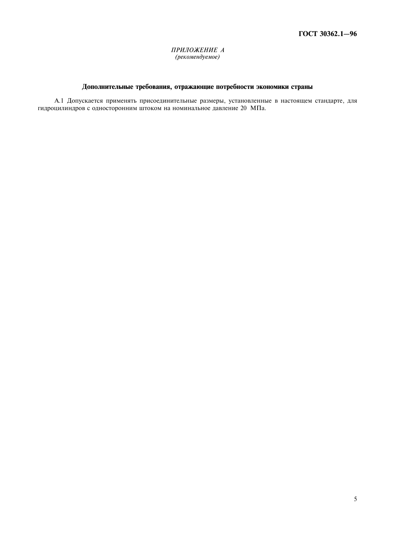#### ПРИЛОЖЕНИЕ А (рекомендуемое)

## Дополнительные требования, отражающие потребности экономики страны

А.1 Допускается применять присоединительные размеры, установленные в настоящем стандарте, для гидроцилиндров с односторонним штоком на номинальное давление 20 МПа.